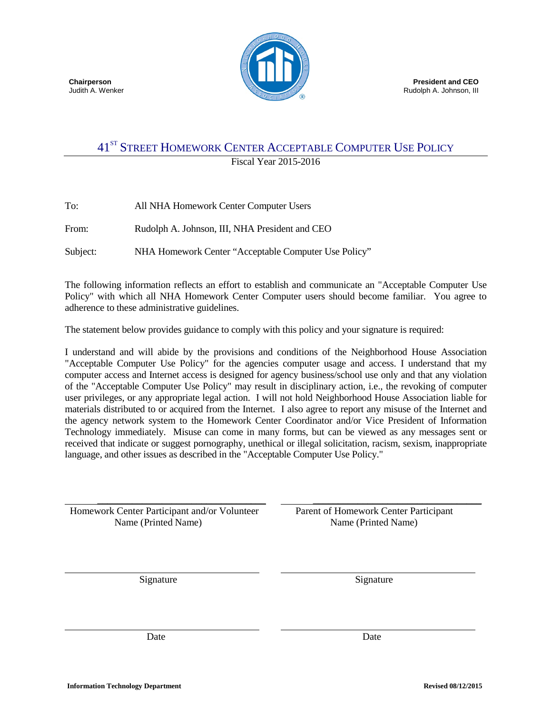

# 41ST STREET HOMEWORK CENTER ACCEPTABLE COMPUTER USE POLICY

Fiscal Year 2015-2016

| To:      | All NHA Homework Center Computer Users               |
|----------|------------------------------------------------------|
| From:    | Rudolph A. Johnson, III, NHA President and CEO       |
| Subject: | NHA Homework Center "Acceptable Computer Use Policy" |

The following information reflects an effort to establish and communicate an "Acceptable Computer Use Policy" with which all NHA Homework Center Computer users should become familiar. You agree to adherence to these administrative guidelines.

The statement below provides guidance to comply with this policy and your signature is required:

I understand and will abide by the provisions and conditions of the Neighborhood House Association "Acceptable Computer Use Policy" for the agencies computer usage and access. I understand that my computer access and Internet access is designed for agency business/school use only and that any violation of the "Acceptable Computer Use Policy" may result in disciplinary action, i.e., the revoking of computer user privileges, or any appropriate legal action. I will not hold Neighborhood House Association liable for materials distributed to or acquired from the Internet. I also agree to report any misuse of the Internet and the agency network system to the Homework Center Coordinator and/or Vice President of Information Technology immediately. Misuse can come in many forms, but can be viewed as any messages sent or received that indicate or suggest pornography, unethical or illegal solicitation, racism, sexism, inappropriate language, and other issues as described in the "Acceptable Computer Use Policy."

\_\_\_\_\_\_\_\_\_\_\_\_\_\_\_\_\_\_\_\_\_\_\_\_\_\_\_\_\_\_\_\_\_\_ Homework Center Participant and/or Volunteer Name (Printed Name)

 Parent of Homework Center Participant Name (Printed Name)

\_\_\_\_\_\_\_\_\_\_\_\_\_\_\_\_\_\_\_\_\_\_\_\_\_\_\_\_\_\_\_\_\_\_

Signature Signature Signature

Date Date Date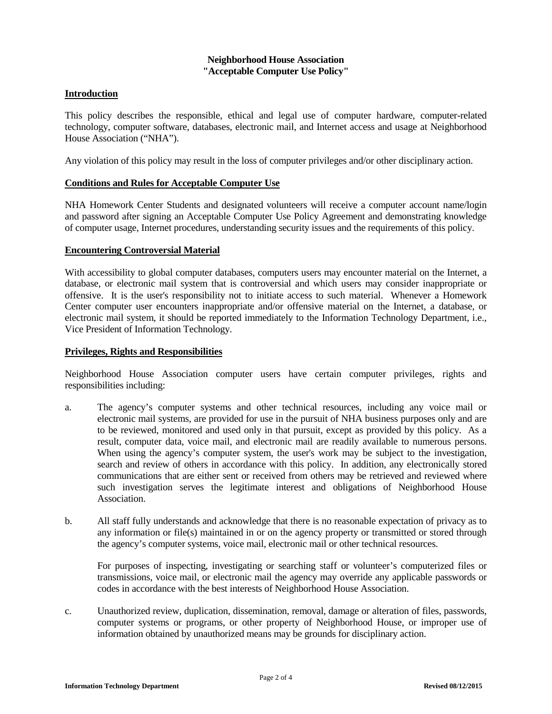#### **Neighborhood House Association "Acceptable Computer Use Policy"**

## **Introduction**

This policy describes the responsible, ethical and legal use of computer hardware, computer-related technology, computer software, databases, electronic mail, and Internet access and usage at Neighborhood House Association ("NHA").

Any violation of this policy may result in the loss of computer privileges and/or other disciplinary action.

### **Conditions and Rules for Acceptable Computer Use**

NHA Homework Center Students and designated volunteers will receive a computer account name/login and password after signing an Acceptable Computer Use Policy Agreement and demonstrating knowledge of computer usage, Internet procedures, understanding security issues and the requirements of this policy.

#### **Encountering Controversial Material**

With accessibility to global computer databases, computers users may encounter material on the Internet, a database, or electronic mail system that is controversial and which users may consider inappropriate or offensive. It is the user's responsibility not to initiate access to such material. Whenever a Homework Center computer user encounters inappropriate and/or offensive material on the Internet, a database, or electronic mail system, it should be reported immediately to the Information Technology Department, i.e., Vice President of Information Technology.

#### **Privileges, Rights and Responsibilities**

Neighborhood House Association computer users have certain computer privileges, rights and responsibilities including:

- a. The agency's computer systems and other technical resources, including any voice mail or electronic mail systems, are provided for use in the pursuit of NHA business purposes only and are to be reviewed, monitored and used only in that pursuit, except as provided by this policy. As a result, computer data, voice mail, and electronic mail are readily available to numerous persons. When using the agency's computer system, the user's work may be subject to the investigation, search and review of others in accordance with this policy. In addition, any electronically stored communications that are either sent or received from others may be retrieved and reviewed where such investigation serves the legitimate interest and obligations of Neighborhood House **Association**
- b. All staff fully understands and acknowledge that there is no reasonable expectation of privacy as to any information or file(s) maintained in or on the agency property or transmitted or stored through the agency's computer systems, voice mail, electronic mail or other technical resources.

For purposes of inspecting, investigating or searching staff or volunteer's computerized files or transmissions, voice mail, or electronic mail the agency may override any applicable passwords or codes in accordance with the best interests of Neighborhood House Association.

c. Unauthorized review, duplication, dissemination, removal, damage or alteration of files, passwords, computer systems or programs, or other property of Neighborhood House, or improper use of information obtained by unauthorized means may be grounds for disciplinary action.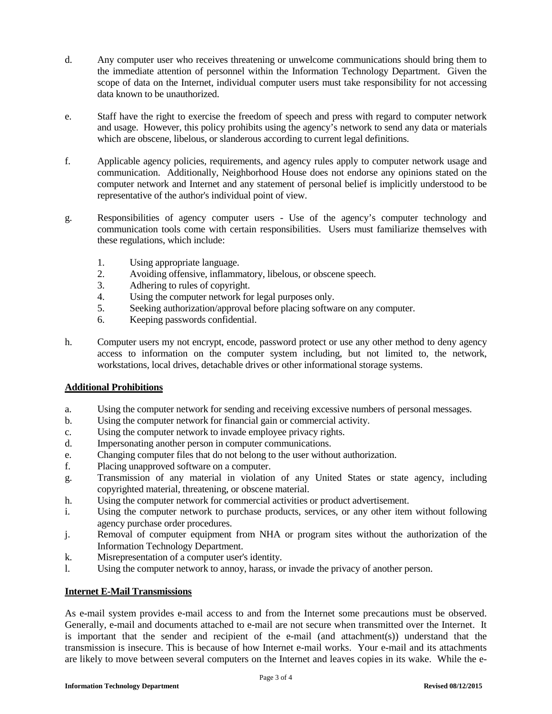- d. Any computer user who receives threatening or unwelcome communications should bring them to the immediate attention of personnel within the Information Technology Department. Given the scope of data on the Internet, individual computer users must take responsibility for not accessing data known to be unauthorized.
- e. Staff have the right to exercise the freedom of speech and press with regard to computer network and usage. However, this policy prohibits using the agency's network to send any data or materials which are obscene, libelous, or slanderous according to current legal definitions.
- f. Applicable agency policies, requirements, and agency rules apply to computer network usage and communication. Additionally, Neighborhood House does not endorse any opinions stated on the computer network and Internet and any statement of personal belief is implicitly understood to be representative of the author's individual point of view.
- g. Responsibilities of agency computer users Use of the agency's computer technology and communication tools come with certain responsibilities. Users must familiarize themselves with these regulations, which include:
	- 1. Using appropriate language.
	- 2. Avoiding offensive, inflammatory, libelous, or obscene speech.
	- 3. Adhering to rules of copyright.
	- 4. Using the computer network for legal purposes only.
	- 5. Seeking authorization/approval before placing software on any computer.
	- 6. Keeping passwords confidential.
- h. Computer users my not encrypt, encode, password protect or use any other method to deny agency access to information on the computer system including, but not limited to, the network, workstations, local drives, detachable drives or other informational storage systems.

# **Additional Prohibitions**

- a. Using the computer network for sending and receiving excessive numbers of personal messages.
- b. Using the computer network for financial gain or commercial activity.
- c. Using the computer network to invade employee privacy rights.
- d. Impersonating another person in computer communications.
- e. Changing computer files that do not belong to the user without authorization.
- f. Placing unapproved software on a computer.
- g. Transmission of any material in violation of any United States or state agency, including copyrighted material, threatening, or obscene material.
- h. Using the computer network for commercial activities or product advertisement.
- i. Using the computer network to purchase products, services, or any other item without following agency purchase order procedures.
- j. Removal of computer equipment from NHA or program sites without the authorization of the Information Technology Department.
- k. Misrepresentation of a computer user's identity.
- l. Using the computer network to annoy, harass, or invade the privacy of another person.

# **Internet E-Mail Transmissions**

As e-mail system provides e-mail access to and from the Internet some precautions must be observed. Generally, e-mail and documents attached to e-mail are not secure when transmitted over the Internet. It is important that the sender and recipient of the e-mail (and attachment(s)) understand that the transmission is insecure. This is because of how Internet e-mail works. Your e-mail and its attachments are likely to move between several computers on the Internet and leaves copies in its wake. While the e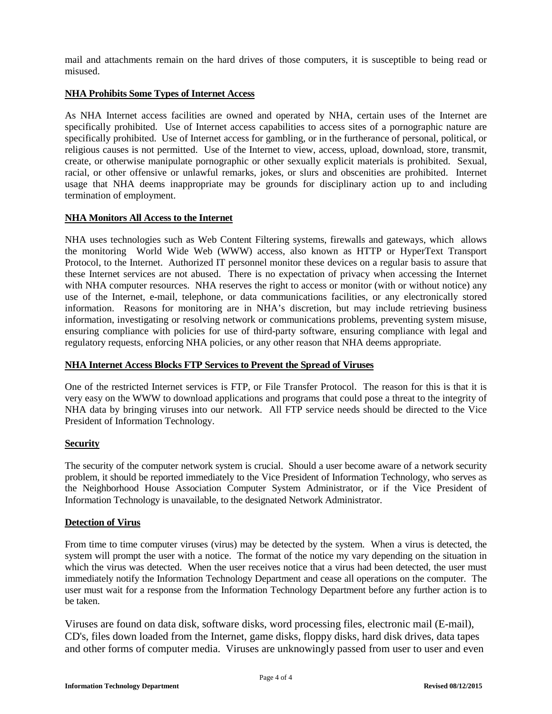mail and attachments remain on the hard drives of those computers, it is susceptible to being read or misused.

## **NHA Prohibits Some Types of Internet Access**

As NHA Internet access facilities are owned and operated by NHA, certain uses of the Internet are specifically prohibited. Use of Internet access capabilities to access sites of a pornographic nature are specifically prohibited. Use of Internet access for gambling, or in the furtherance of personal, political, or religious causes is not permitted. Use of the Internet to view, access, upload, download, store, transmit, create, or otherwise manipulate pornographic or other sexually explicit materials is prohibited. Sexual, racial, or other offensive or unlawful remarks, jokes, or slurs and obscenities are prohibited. Internet usage that NHA deems inappropriate may be grounds for disciplinary action up to and including termination of employment.

#### **NHA Monitors All Access to the Internet**

NHA uses technologies such as Web Content Filtering systems, firewalls and gateways, which allows the monitoring World Wide Web (WWW) access, also known as HTTP or HyperText Transport Protocol, to the Internet. Authorized IT personnel monitor these devices on a regular basis to assure that these Internet services are not abused. There is no expectation of privacy when accessing the Internet with NHA computer resources. NHA reserves the right to access or monitor (with or without notice) any use of the Internet, e-mail, telephone, or data communications facilities, or any electronically stored information. Reasons for monitoring are in NHA's discretion, but may include retrieving business information, investigating or resolving network or communications problems, preventing system misuse, ensuring compliance with policies for use of third-party software, ensuring compliance with legal and regulatory requests, enforcing NHA policies, or any other reason that NHA deems appropriate.

# **NHA Internet Access Blocks FTP Services to Prevent the Spread of Viruses**

One of the restricted Internet services is FTP, or File Transfer Protocol. The reason for this is that it is very easy on the WWW to download applications and programs that could pose a threat to the integrity of NHA data by bringing viruses into our network. All FTP service needs should be directed to the Vice President of Information Technology.

# **Security**

The security of the computer network system is crucial. Should a user become aware of a network security problem, it should be reported immediately to the Vice President of Information Technology, who serves as the Neighborhood House Association Computer System Administrator, or if the Vice President of Information Technology is unavailable, to the designated Network Administrator.

#### **Detection of Virus**

From time to time computer viruses (virus) may be detected by the system. When a virus is detected, the system will prompt the user with a notice. The format of the notice my vary depending on the situation in which the virus was detected. When the user receives notice that a virus had been detected, the user must immediately notify the Information Technology Department and cease all operations on the computer. The user must wait for a response from the Information Technology Department before any further action is to be taken.

Viruses are found on data disk, software disks, word processing files, electronic mail (E-mail), CD's, files down loaded from the Internet, game disks, floppy disks, hard disk drives, data tapes and other forms of computer media. Viruses are unknowingly passed from user to user and even